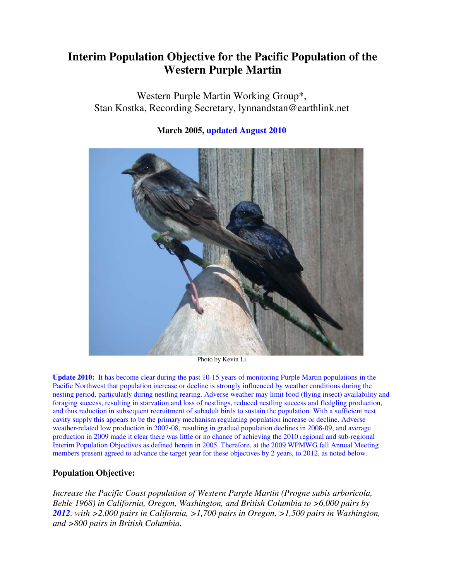# **Interim Population Objective for the Pacific Population of the Western Purple Martin**

Western Purple Martin Working Group\*, Stan Kostka, Recording Secretary, lynnandstan@earthlink.net



## **March 2005, updated August 2010**

Photo by Kevin Li

**Update 2010:** It has become clear during the past 10-15 years of monitoring Purple Martin populations in the Pacific Northwest that population increase or decline is strongly influenced by weather conditions during the nesting period, particularly during nestling rearing. Adverse weather may limit food (flying insect) availability and foraging success, resulting in starvation and loss of nestlings, reduced nestling success and fledgling production, and thus reduction in subsequent recruitment of subadult birds to sustain the population. With a sufficient nest cavity supply this appears to be the primary mechanism regulating population increase or decline. Adverse weather-related low production in 2007-08, resulting in gradual population declines in 2008-09, and average production in 2009 made it clear there was little or no chance of achieving the 2010 regional and sub-regional Interim Population Objectives as defined herein in 2005. Therefore, at the 2009 WPMWG fall Annual Meeting members present agreed to advance the target year for these objectives by 2 years, to 2012, as noted below.

## **Population Objective:**

*Increase the Pacific Coast population of Western Purple Martin (Progne subis arboricola, Behle 1968) in California, Oregon, Washington, and British Columbia to >6,000 pairs by 2012, with >2,000 pairs in California, >1,700 pairs in Oregon, >1,500 pairs in Washington, and >800 pairs in British Columbia.*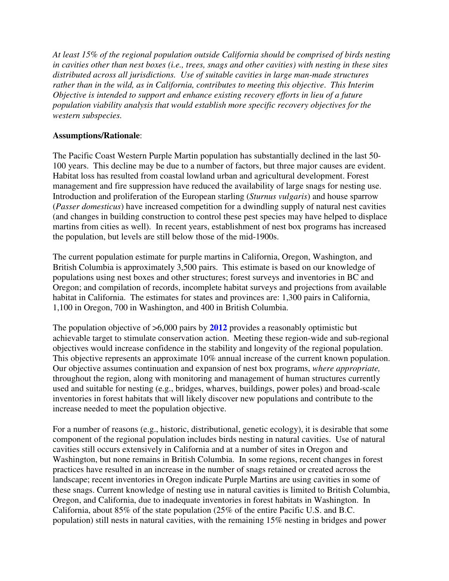*At least 15% of the regional population outside California should be comprised of birds nesting in cavities other than nest boxes (i.e., trees, snags and other cavities) with nesting in these sites distributed across all jurisdictions. Use of suitable cavities in large man-made structures rather than in the wild, as in California, contributes to meeting this objective*. *This Interim Objective is intended to support and enhance existing recovery efforts in lieu of a future population viability analysis that would establish more specific recovery objectives for the western subspecies.* 

### **Assumptions/Rationale**:

The Pacific Coast Western Purple Martin population has substantially declined in the last 50- 100 years. This decline may be due to a number of factors, but three major causes are evident. Habitat loss has resulted from coastal lowland urban and agricultural development. Forest management and fire suppression have reduced the availability of large snags for nesting use. Introduction and proliferation of the European starling (*Sturnus vulgaris*) and house sparrow (*Passer domesticus*) have increased competition for a dwindling supply of natural nest cavities (and changes in building construction to control these pest species may have helped to displace martins from cities as well). In recent years, establishment of nest box programs has increased the population, but levels are still below those of the mid-1900s.

The current population estimate for purple martins in California, Oregon, Washington, and British Columbia is approximately 3,500 pairs. This estimate is based on our knowledge of populations using nest boxes and other structures; forest surveys and inventories in BC and Oregon; and compilation of records, incomplete habitat surveys and projections from available habitat in California. The estimates for states and provinces are: 1,300 pairs in California, 1,100 in Oregon, 700 in Washington, and 400 in British Columbia.

The population objective of >6,000 pairs by **2012** provides a reasonably optimistic but achievable target to stimulate conservation action. Meeting these region-wide and sub-regional objectives would increase confidence in the stability and longevity of the regional population. This objective represents an approximate 10% annual increase of the current known population. Our objective assumes continuation and expansion of nest box programs, *where appropriate,* throughout the region, along with monitoring and management of human structures currently used and suitable for nesting (e.g., bridges, wharves, buildings, power poles) and broad-scale inventories in forest habitats that will likely discover new populations and contribute to the increase needed to meet the population objective.

For a number of reasons (e.g., historic, distributional, genetic ecology), it is desirable that some component of the regional population includes birds nesting in natural cavities. Use of natural cavities still occurs extensively in California and at a number of sites in Oregon and Washington, but none remains in British Columbia. In some regions, recent changes in forest practices have resulted in an increase in the number of snags retained or created across the landscape; recent inventories in Oregon indicate Purple Martins are using cavities in some of these snags. Current knowledge of nesting use in natural cavities is limited to British Columbia, Oregon, and California, due to inadequate inventories in forest habitats in Washington. In California, about 85% of the state population (25% of the entire Pacific U.S. and B.C. population) still nests in natural cavities, with the remaining 15% nesting in bridges and power